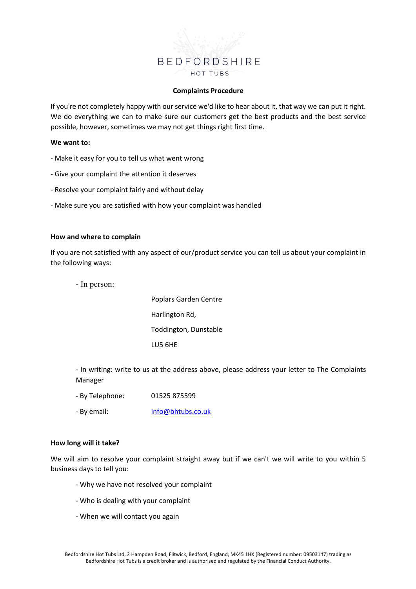

### **Complaints Procedure**

If you're not completely happy with our service we'd like to hear about it, that way we can put it right. We do everything we can to make sure our customers get the best products and the best service possible, however, sometimes we may not get things right first time.

### **We want to:**

- Make it easy for you to tell us what went wrong
- Give your complaint the attention it deserves
- Resolve your complaint fairly and without delay
- Make sure you are satisfied with how your complaint was handled

## **How and where to complain**

If you are not satisfied with any aspect of our/product service you can tell us about your complaint in the following ways:

- In person:

Poplars Garden Centre Harlington Rd, Toddington, Dunstable LU5 6HE

- In writing: write to us at the address above, please address your letter to The Complaints Manager

- By Telephone: 01525 875599
- By email: info@bhtubs.co.uk

### **How long will it take?**

We will aim to resolve your complaint straight away but if we can't we will write to you within 5 business days to tell you:

- Why we have not resolved your complaint
- Who is dealing with your complaint
- When we will contact you again